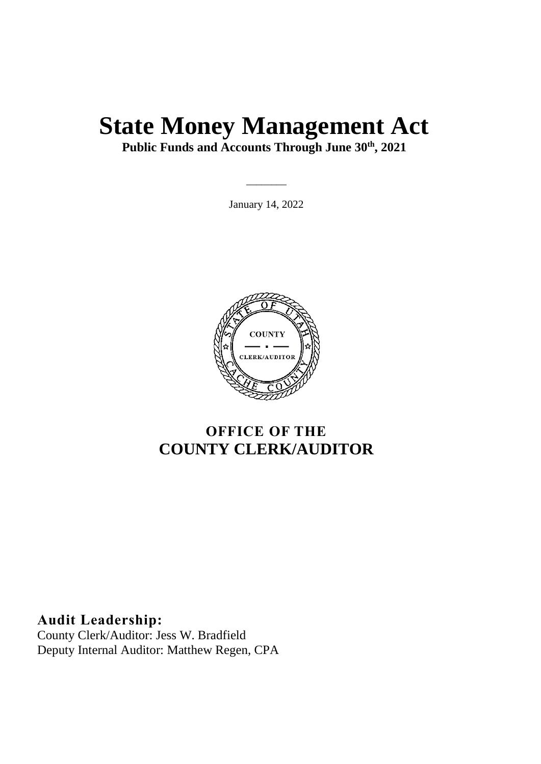# **State Money Management Act**

**Public Funds and Accounts Through June 30th , 2021**

January 14, 2022

 $\overline{\phantom{a}}$ 



## **OFFICE OF THE COUNTY CLERK/AUDITOR**

**Audit Leadership:** County Clerk/Auditor: Jess W. Bradfield Deputy Internal Auditor: Matthew Regen, CPA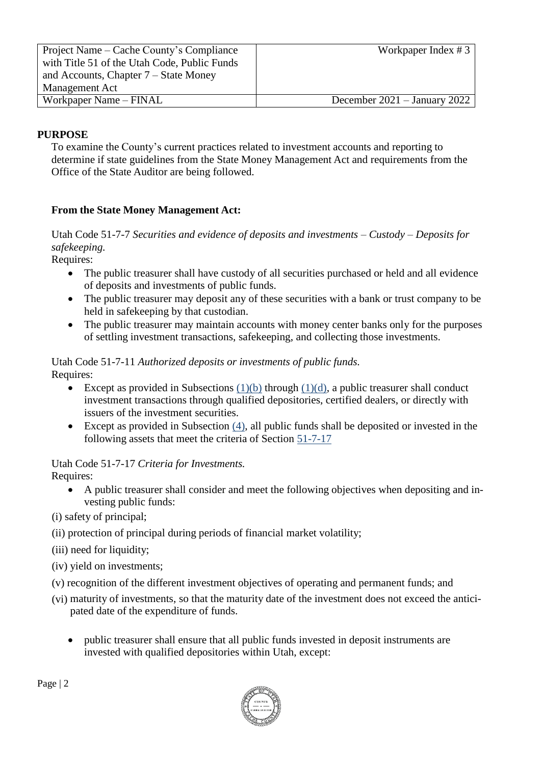| Project Name – Cache County's Compliance     | Workpaper Index $# 3$          |
|----------------------------------------------|--------------------------------|
| with Title 51 of the Utah Code, Public Funds |                                |
| and Accounts, Chapter $7 -$ State Money      |                                |
| <b>Management Act</b>                        |                                |
| Workpaper Name – FINAL                       | December $2021 -$ January 2022 |

#### **PURPOSE**

To examine the County's current practices related to investment accounts and reporting to determine if state guidelines from the State Money Management Act and requirements from the Office of the State Auditor are being followed.

#### **From the State Money Management Act:**

Utah Code 51-7-7 *Securities and evidence of deposits and investments – Custody – Deposits for safekeeping.*

Requires:

- The public treasurer shall have custody of all securities purchased or held and all evidence of deposits and investments of public funds.
- The public treasurer may deposit any of these securities with a bank or trust company to be held in safekeeping by that custodian.
- The public treasurer may maintain accounts with money center banks only for the purposes of settling investment transactions, safekeeping, and collecting those investments.

Utah Code 51-7-11 *Authorized deposits or investments of public funds.* Requires:

- Except as provided in Subsections  $(1)(b)$  through  $(1)(d)$ , a public treasurer shall conduct investment transactions through qualified depositories, certified dealers, or directly with issuers of the investment securities.
- Except as provided in Subsection  $(4)$ , all public funds shall be deposited or invested in the following assets that meet the criteria of Section [51-7-17](https://le.utah.gov/xcode/Title51/Chapter7/51-7-S17.html?v=C51-7-S17_2019051420190514)

Utah Code 51-7-17 *Criteria for Investments.* Requires:

 A public treasurer shall consider and meet the following objectives when depositing and investing public funds:

(i) safety of principal;

- (ii) protection of principal during periods of financial market volatility;
- (iii) need for liquidity;
- (iv) yield on investments;
- (v) recognition of the different investment objectives of operating and permanent funds; and
- (vi) maturity of investments, so that the maturity date of the investment does not exceed the anticipated date of the expenditure of funds.
	- public treasurer shall ensure that all public funds invested in deposit instruments are invested with qualified depositories within Utah, except:

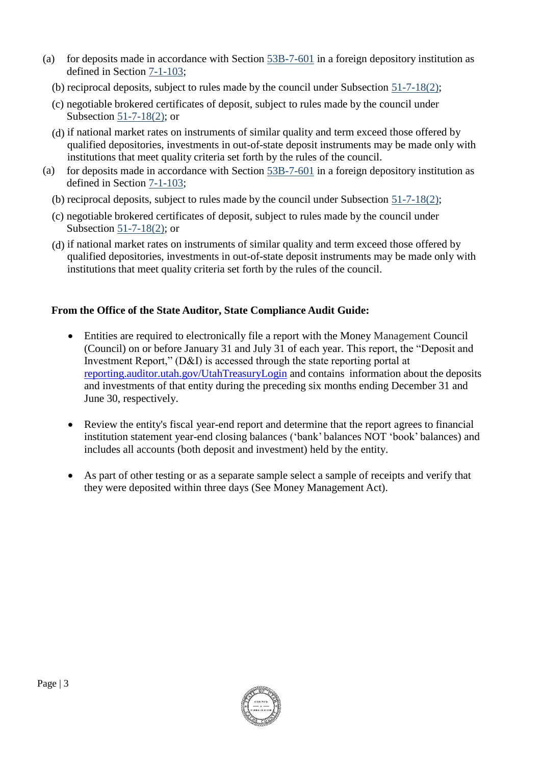- (a) for deposits made in accordance with Section [53B-7-601](https://le.utah.gov/xcode/Title53B/Chapter7/53B-7-S601.html?v=C53B-7-S601_1800010118000101) in a foreign depository institution as defined in Section [7-1-103;](https://le.utah.gov/xcode/Title7/Chapter1/7-1-S103.html?v=C7-1-S103_2017050920170509)
	- (b) reciprocal deposits, subject to rules made by the council under Subsection [51-7-18\(2\);](https://le.utah.gov/xcode/Title51/Chapter7/51-7-S18.html?v=C51-7-S18_1800010118000101&51-7-18(2))
	- (c) negotiable brokered certificates of deposit, subject to rules made by the council under Subsection [51-7-18\(2\);](https://le.utah.gov/xcode/Title51/Chapter7/51-7-S18.html?v=C51-7-S18_1800010118000101&51-7-18(2)) or
	- (d) if national market rates on instruments of similar quality and term exceed those offered by qualified depositories, investments in out-of-state deposit instruments may be made only with institutions that meet quality criteria set forth by the rules of the council.
- (a) for deposits made in accordance with Section [53B-7-601](https://le.utah.gov/xcode/Title53B/Chapter7/53B-7-S601.html?v=C53B-7-S601_1800010118000101) in a foreign depository institution as defined in Section [7-1-103;](https://le.utah.gov/xcode/Title7/Chapter1/7-1-S103.html?v=C7-1-S103_2017050920170509)
	- (b) reciprocal deposits, subject to rules made by the council under Subsection [51-7-18\(2\);](https://le.utah.gov/xcode/Title51/Chapter7/51-7-S18.html?v=C51-7-S18_1800010118000101&51-7-18(2))
	- (c) negotiable brokered certificates of deposit, subject to rules made by the council under Subsection [51-7-18\(2\);](https://le.utah.gov/xcode/Title51/Chapter7/51-7-S18.html?v=C51-7-S18_1800010118000101&51-7-18(2)) or
	- (d) if national market rates on instruments of similar quality and term exceed those offered by qualified depositories, investments in out-of-state deposit instruments may be made only with institutions that meet quality criteria set forth by the rules of the council.

#### **From the Office of the State Auditor, State Compliance Audit Guide:**

- Entities are required to electronically file a report with the Money Management Council (Council) on or before January 31 and July 31 of each year. This report, the "Deposit and Investment Report," (D&I) is accessed through the state reporting portal at [reporting.auditor.utah.gov/UtahTreasuryLogin](https://reporting.auditor.utah.gov/UtahTreasuryLogin) and contains information about the deposits and investments of that entity during the preceding six months ending December 31 and June 30, respectively.
- Review the entity's fiscal year-end report and determine that the report agrees to financial institution statement year-end closing balances ('bank' balances NOT 'book' balances) and includes all accounts (both deposit and investment) held by the entity.
- As part of other testing or as a separate sample select a sample of receipts and verify that they were deposited within three days (See Money Management Act).

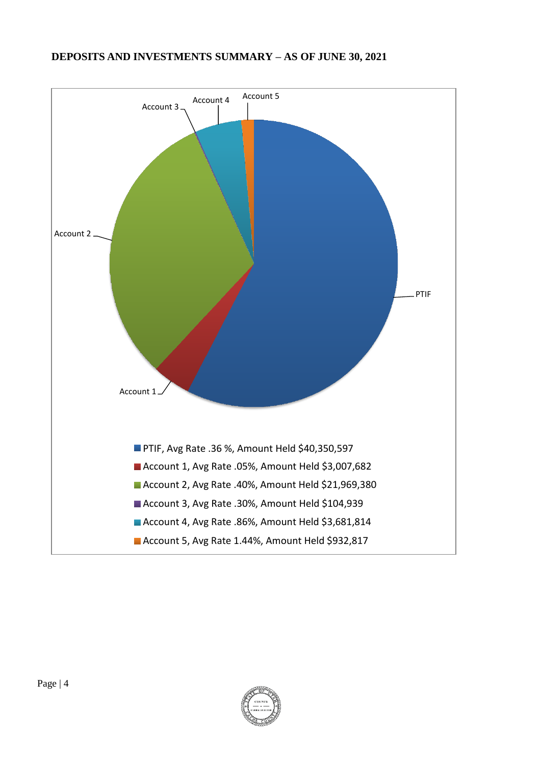#### **DEPOSITS AND INVESTMENTS SUMMARY – AS OF JUNE 30, 2021**